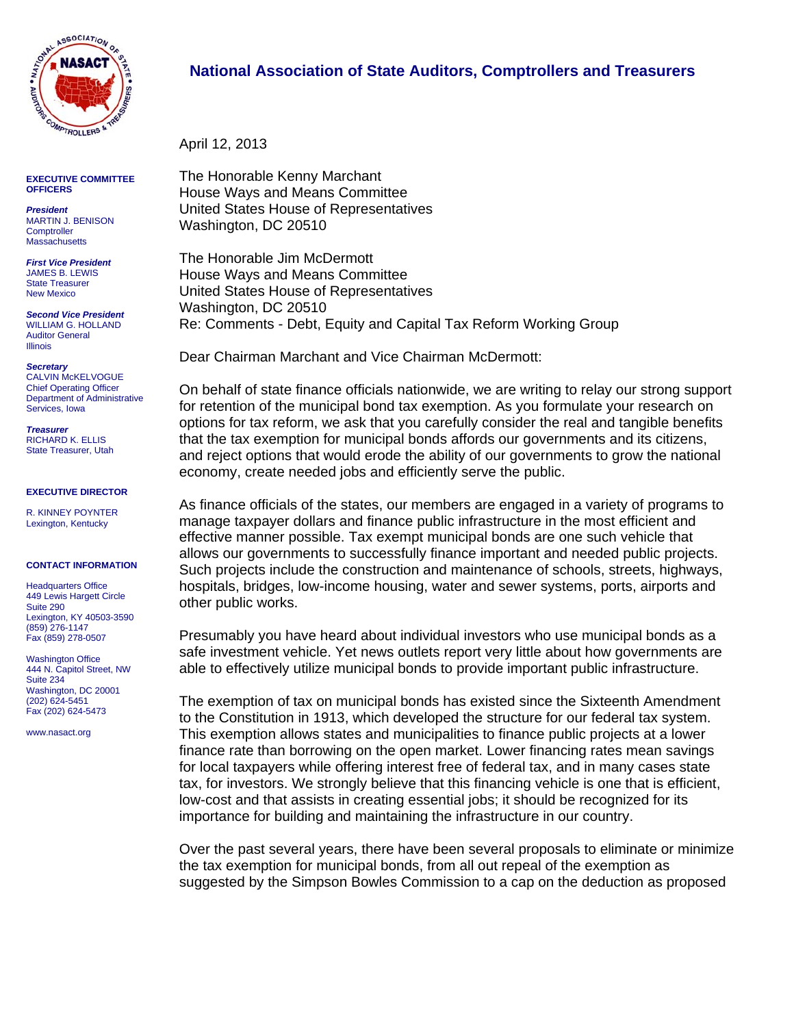

**EXECUTIVE COMMITTEE OFFICERS** 

*President*  MARTIN J. BENISON **Comptroller Massachusetts** 

*First Vice President*  JAMES B. LEWIS State Treasurer New Mexico

*Second Vice President*  WILLIAM G. HOLLAND Auditor General Illinois

*Secretary*  CALVIN McKELVOGUE Chief Operating Officer Department of Administrative

*Treasurer*  RICHARD K. ELLIS State Treasurer, Utah

Services, Iowa

## **EXECUTIVE DIRECTOR**

R. KINNEY POYNTER Lexington, Kentucky

## **CONTACT INFORMATION**

Headquarters Office 449 Lewis Hargett Circle Suite 290 Lexington, KY 40503-3590 (859) 276-1147 Fax (859) 278-0507

Washington Office 444 N. Capitol Street, NW Suite 234 Washington, DC 20001 (202) 624-5451 Fax (202) 624-5473

www.nasact.org

## **National Association of State Auditors, Comptrollers and Treasurers**

April 12, 2013

The Honorable Kenny Marchant House Ways and Means Committee United States House of Representatives Washington, DC 20510

The Honorable Jim McDermott House Ways and Means Committee United States House of Representatives Washington, DC 20510 Re: Comments - Debt, Equity and Capital Tax Reform Working Group

Dear Chairman Marchant and Vice Chairman McDermott:

On behalf of state finance officials nationwide, we are writing to relay our strong support for retention of the municipal bond tax exemption. As you formulate your research on options for tax reform, we ask that you carefully consider the real and tangible benefits that the tax exemption for municipal bonds affords our governments and its citizens, and reject options that would erode the ability of our governments to grow the national economy, create needed jobs and efficiently serve the public.

As finance officials of the states, our members are engaged in a variety of programs to manage taxpayer dollars and finance public infrastructure in the most efficient and effective manner possible. Tax exempt municipal bonds are one such vehicle that allows our governments to successfully finance important and needed public projects. Such projects include the construction and maintenance of schools, streets, highways, hospitals, bridges, low-income housing, water and sewer systems, ports, airports and other public works.

Presumably you have heard about individual investors who use municipal bonds as a safe investment vehicle. Yet news outlets report very little about how governments are able to effectively utilize municipal bonds to provide important public infrastructure.

The exemption of tax on municipal bonds has existed since the Sixteenth Amendment to the Constitution in 1913, which developed the structure for our federal tax system. This exemption allows states and municipalities to finance public projects at a lower finance rate than borrowing on the open market. Lower financing rates mean savings for local taxpayers while offering interest free of federal tax, and in many cases state tax, for investors. We strongly believe that this financing vehicle is one that is efficient, low-cost and that assists in creating essential jobs; it should be recognized for its importance for building and maintaining the infrastructure in our country.

Over the past several years, there have been several proposals to eliminate or minimize the tax exemption for municipal bonds, from all out repeal of the exemption as suggested by the Simpson Bowles Commission to a cap on the deduction as proposed